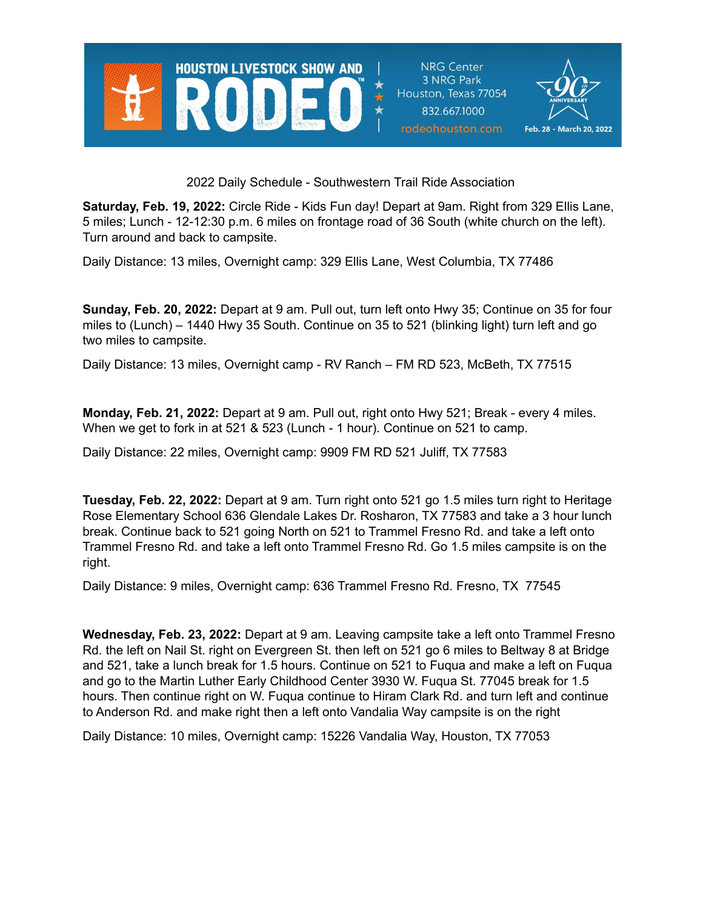

**NRG Center** 3 NRG Park Houston, Texas 77054 832.667.1000 rodeohouston.com



2022 Daily Schedule - Southwestern Trail Ride Association

**Saturday, Feb. 19, 2022:** Circle Ride - Kids Fun day! Depart at 9am. Right from 329 Ellis Lane, 5 miles; Lunch - 12-12:30 p.m. 6 miles on frontage road of 36 South (white church on the left). Turn around and back to campsite.

Daily Distance: 13 miles, Overnight camp: 329 Ellis Lane, West Columbia, TX 77486

**Sunday, Feb. 20, 2022:** Depart at 9 am. Pull out, turn left onto Hwy 35; Continue on 35 for four miles to (Lunch) – 1440 Hwy 35 South. Continue on 35 to 521 (blinking light) turn left and go two miles to campsite.

Daily Distance: 13 miles, Overnight camp - RV Ranch – FM RD 523, McBeth, TX 77515

**Monday, Feb. 21, 2022:** Depart at 9 am. Pull out, right onto Hwy 521; Break - every 4 miles. When we get to fork in at 521 & 523 (Lunch - 1 hour). Continue on 521 to camp.

Daily Distance: 22 miles, Overnight camp: 9909 FM RD 521 Juliff, TX 77583

**Tuesday, Feb. 22, 2022:** Depart at 9 am. Turn right onto 521 go 1.5 miles turn right to Heritage Rose Elementary School 636 Glendale Lakes Dr. Rosharon, TX 77583 and take a 3 hour lunch break. Continue back to 521 going North on 521 to Trammel Fresno Rd. and take a left onto Trammel Fresno Rd. and take a left onto Trammel Fresno Rd. Go 1.5 miles campsite is on the right.

Daily Distance: 9 miles, Overnight camp: 636 Trammel Fresno Rd. Fresno, TX 77545

**Wednesday, Feb. 23, 2022:** Depart at 9 am. Leaving campsite take a left onto Trammel Fresno Rd. the left on Nail St. right on Evergreen St. then left on 521 go 6 miles to Beltway 8 at Bridge and 521, take a lunch break for 1.5 hours. Continue on 521 to Fuqua and make a left on Fuqua and go to the Martin Luther Early Childhood Center 3930 W. Fuqua St. 77045 break for 1.5 hours. Then continue right on W. Fuqua continue to Hiram Clark Rd. and turn left and continue to Anderson Rd. and make right then a left onto Vandalia Way campsite is on the right

Daily Distance: 10 miles, Overnight camp: 15226 Vandalia Way, Houston, TX 77053